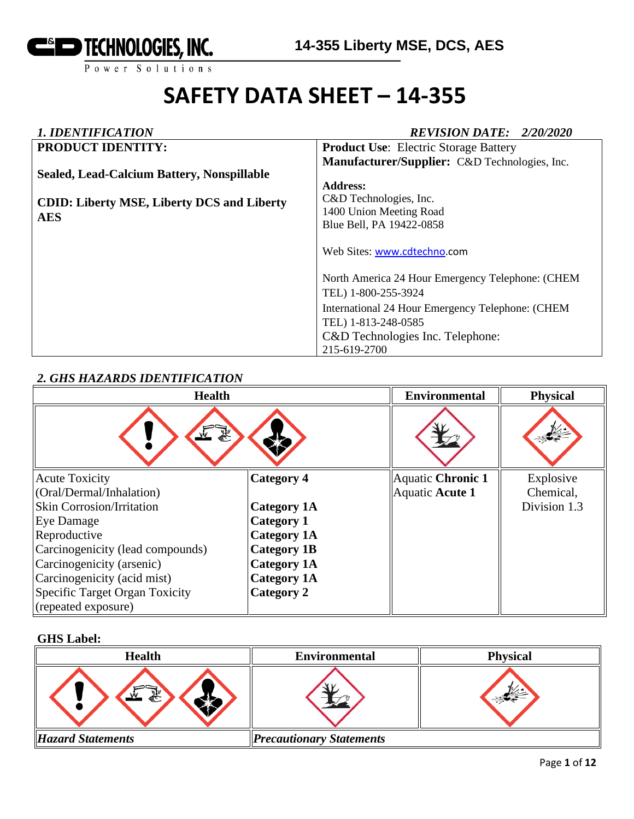

# **SAFETY DATA SHEET – 14-355**

# *1. IDENTIFICATION REVISION DATE: 2/20/2020*

| <b>PRODUCT IDENTITY:</b>                          | <b>Product Use:</b> Electric Storage Battery     |
|---------------------------------------------------|--------------------------------------------------|
|                                                   | Manufacturer/Supplier: C&D Technologies, Inc.    |
| Sealed, Lead-Calcium Battery, Nonspillable        |                                                  |
|                                                   | <b>Address:</b>                                  |
| <b>CDID: Liberty MSE, Liberty DCS and Liberty</b> | C&D Technologies, Inc.                           |
| <b>AES</b>                                        | 1400 Union Meeting Road                          |
|                                                   | Blue Bell, PA 19422-0858                         |
|                                                   | Web Sites: www.cdtechno.com                      |
|                                                   | North America 24 Hour Emergency Telephone: (CHEM |
|                                                   | TEL) 1-800-255-3924                              |
|                                                   | International 24 Hour Emergency Telephone: (CHEM |
|                                                   | TEL) 1-813-248-0585                              |
|                                                   | C&D Technologies Inc. Telephone:                 |
|                                                   | 215-619-2700                                     |

# *2. GHS HAZARDS IDENTIFICATION*

| <b>Health</b>                    |                    | <b>Environmental</b> | <b>Physical</b> |
|----------------------------------|--------------------|----------------------|-----------------|
| 系<br>$\frac{1}{2}$               |                    |                      |                 |
| <b>Acute Toxicity</b>            | <b>Category 4</b>  | Aquatic Chronic 1    | Explosive       |
| (Oral/Dermal/Inhalation)         |                    | Aquatic Acute 1      | Chemical,       |
| <b>Skin Corrosion/Irritation</b> | <b>Category 1A</b> |                      | Division 1.3    |
| Eye Damage                       | <b>Category 1</b>  |                      |                 |
| Reproductive                     | <b>Category 1A</b> |                      |                 |
| Carcinogenicity (lead compounds) | <b>Category 1B</b> |                      |                 |
| Carcinogenicity (arsenic)        | <b>Category 1A</b> |                      |                 |
| Carcinogenicity (acid mist)      | <b>Category 1A</b> |                      |                 |
| Specific Target Organ Toxicity   | Category 2         |                      |                 |
| (repeated exposure)              |                    |                      |                 |

### **GHS Label:**

| <b>Health</b>            | <b>Environmental</b>            | <b>Physical</b> |
|--------------------------|---------------------------------|-----------------|
| 系                        |                                 |                 |
| <b>Hazard Statements</b> | <b>Precautionary Statements</b> |                 |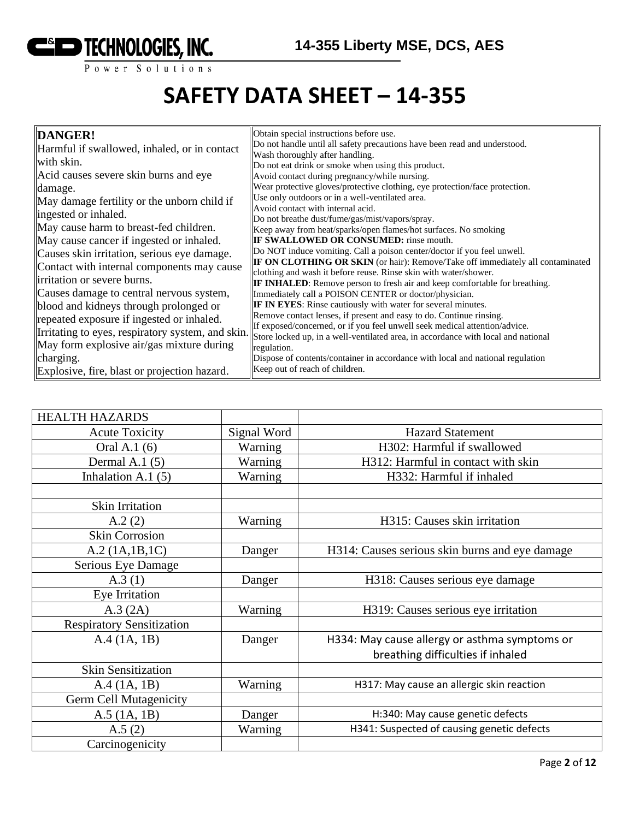

# **SAFETY DATA SHEET – 14-355**

|                                                   | Obtain special instructions before use.                                                                      |
|---------------------------------------------------|--------------------------------------------------------------------------------------------------------------|
| DANGER!                                           |                                                                                                              |
| Harmful if swallowed, inhaled, or in contact      | Do not handle until all safety precautions have been read and understood.<br>Wash thoroughly after handling. |
| with skin.                                        |                                                                                                              |
| Acid causes severe skin burns and eye             | Do not eat drink or smoke when using this product.                                                           |
|                                                   | Avoid contact during pregnancy/while nursing.                                                                |
| damage.                                           | Wear protective gloves/protective clothing, eye protection/face protection.                                  |
| May damage fertility or the unborn child if       | Use only outdoors or in a well-ventilated area.                                                              |
| ingested or inhaled.                              | Avoid contact with internal acid.                                                                            |
|                                                   | Do not breathe dust/fume/gas/mist/vapors/spray.                                                              |
| May cause harm to breast-fed children.            | Keep away from heat/sparks/open flames/hot surfaces. No smoking                                              |
| May cause cancer if ingested or inhaled.          | <b>IF SWALLOWED OR CONSUMED:</b> rinse mouth.                                                                |
| Causes skin irritation, serious eye damage.       | Do NOT induce vomiting. Call a poison center/doctor if you feel unwell.                                      |
| Contact with internal components may cause        | IF ON CLOTHING OR SKIN (or hair): Remove/Take off immediately all contaminated                               |
|                                                   | clothing and wash it before reuse. Rinse skin with water/shower.                                             |
| irritation or severe burns.                       | <b>IF INHALED:</b> Remove person to fresh air and keep comfortable for breathing.                            |
| Causes damage to central nervous system,          | Immediately call a POISON CENTER or doctor/physician.                                                        |
| blood and kidneys through prolonged or            | IF IN EYES: Rinse cautiously with water for several minutes.                                                 |
| repeated exposure if ingested or inhaled.         | Remove contact lenses, if present and easy to do. Continue rinsing.                                          |
|                                                   | If exposed/concerned, or if you feel unwell seek medical attention/advice.                                   |
| Irritating to eyes, respiratory system, and skin. | Store locked up, in a well-ventilated area, in accordance with local and national                            |
| May form explosive air/gas mixture during         | regulation.                                                                                                  |
| charging.                                         | Dispose of contents/container in accordance with local and national regulation                               |
| Explosive, fire, blast or projection hazard.      | Keep out of reach of children.                                                                               |

| <b>HEALTH HAZARDS</b>            |             |                                                |
|----------------------------------|-------------|------------------------------------------------|
| <b>Acute Toxicity</b>            | Signal Word | <b>Hazard Statement</b>                        |
| Oral A.1 (6)                     | Warning     | H302: Harmful if swallowed                     |
| Dermal A.1 $(5)$                 | Warning     | H312: Harmful in contact with skin             |
| Inhalation A.1 $(5)$             | Warning     | H332: Harmful if inhaled                       |
|                                  |             |                                                |
| Skin Irritation                  |             |                                                |
| A.2(2)                           | Warning     | H315: Causes skin irritation                   |
| <b>Skin Corrosion</b>            |             |                                                |
| A.2 (1A.1B.1C)                   | Danger      | H314: Causes serious skin burns and eye damage |
| Serious Eye Damage               |             |                                                |
| A.3(1)                           | Danger      | H318: Causes serious eye damage                |
| Eye Irritation                   |             |                                                |
| A.3 (2A)                         | Warning     | H319: Causes serious eye irritation            |
| <b>Respiratory Sensitization</b> |             |                                                |
| A.4 (1A, 1B)                     | Danger      | H334: May cause allergy or asthma symptoms or  |
|                                  |             | breathing difficulties if inhaled              |
| <b>Skin Sensitization</b>        |             |                                                |
| A.4 (1A, 1B)                     | Warning     | H317: May cause an allergic skin reaction      |
| <b>Germ Cell Mutagenicity</b>    |             |                                                |
| $A.5$ (1A, 1B)                   | Danger      | H:340: May cause genetic defects               |
| A.5(2)                           | Warning     | H341: Suspected of causing genetic defects     |
| Carcinogenicity                  |             |                                                |
|                                  |             |                                                |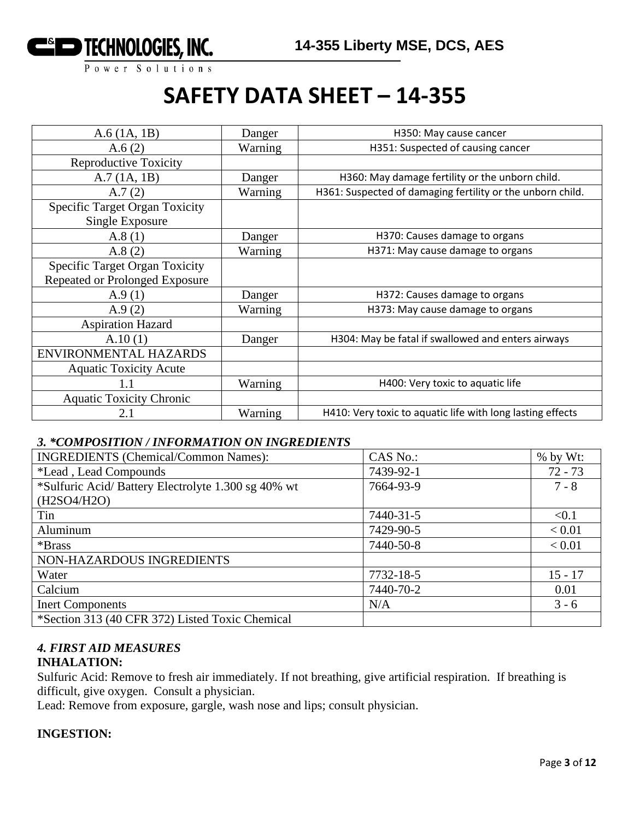

# **SAFETY DATA SHEET – 14-355**

| A.6(1A, 1B)                                              | Danger  | H350: May cause cancer                                     |
|----------------------------------------------------------|---------|------------------------------------------------------------|
| A.6(2)                                                   | Warning | H351: Suspected of causing cancer                          |
| <b>Reproductive Toxicity</b>                             |         |                                                            |
| A.7(1A, 1B)                                              | Danger  | H360: May damage fertility or the unborn child.            |
| A.7(2)                                                   | Warning | H361: Suspected of damaging fertility or the unborn child. |
| <b>Specific Target Organ Toxicity</b><br>Single Exposure |         |                                                            |
| A.8(1)                                                   | Danger  | H370: Causes damage to organs                              |
| A.8(2)                                                   | Warning | H371: May cause damage to organs                           |
| <b>Specific Target Organ Toxicity</b>                    |         |                                                            |
| Repeated or Prolonged Exposure                           |         |                                                            |
| A.9(1)                                                   | Danger  | H372: Causes damage to organs                              |
| A.9(2)                                                   | Warning | H373: May cause damage to organs                           |
| <b>Aspiration Hazard</b>                                 |         |                                                            |
| A.10(1)                                                  | Danger  | H304: May be fatal if swallowed and enters airways         |
| ENVIRONMENTAL HAZARDS                                    |         |                                                            |
| <b>Aquatic Toxicity Acute</b>                            |         |                                                            |
|                                                          | Warning | H400: Very toxic to aquatic life                           |
| <b>Aquatic Toxicity Chronic</b>                          |         |                                                            |
| 2.1                                                      | Warning | H410: Very toxic to aquatic life with long lasting effects |

#### *3. \*COMPOSITION / INFORMATION ON INGREDIENTS*

| <b>INGREDIENTS</b> (Chemical/Common Names):         | CAS No.:  | $%$ by Wt: |
|-----------------------------------------------------|-----------|------------|
| <i>*Lead</i> , Lead Compounds                       | 7439-92-1 | $72 - 73$  |
| *Sulfuric Acid/ Battery Electrolyte 1.300 sg 40% wt | 7664-93-9 | $7 - 8$    |
| (H2SO4/H2O)                                         |           |            |
| Tin                                                 | 7440-31-5 | < 0.1      |
| Aluminum                                            | 7429-90-5 | < 0.01     |
| *Brass                                              | 7440-50-8 | < 0.01     |
| NON-HAZARDOUS INGREDIENTS                           |           |            |
| Water                                               | 7732-18-5 | $15 - 17$  |
| Calcium                                             | 7440-70-2 | 0.01       |
| <b>Inert Components</b>                             | N/A       | $3 - 6$    |
| *Section 313 (40 CFR 372) Listed Toxic Chemical     |           |            |

# *4. FIRST AID MEASURES*

# **INHALATION:**

Sulfuric Acid: Remove to fresh air immediately. If not breathing, give artificial respiration. If breathing is difficult, give oxygen. Consult a physician.

Lead: Remove from exposure, gargle, wash nose and lips; consult physician.

#### **INGESTION:**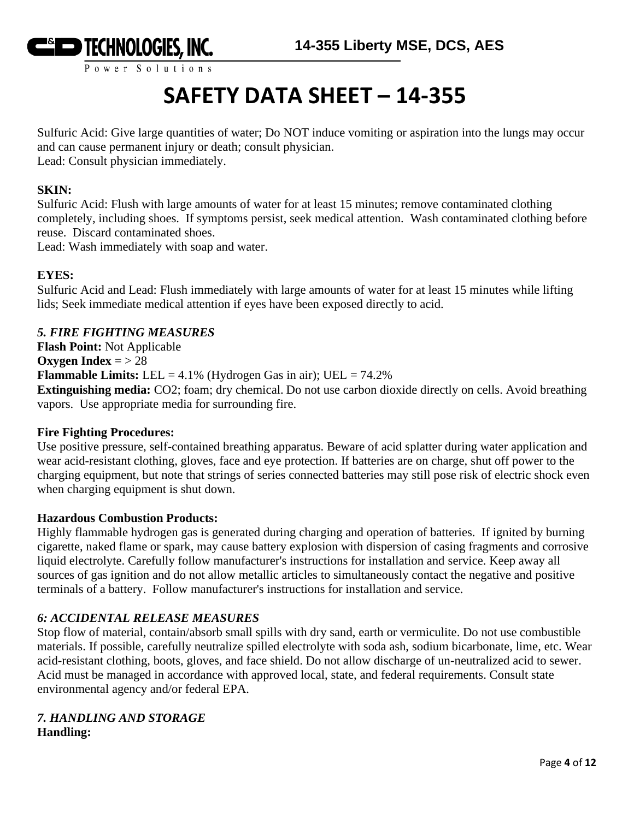

# **SAFETY DATA SHEET – 14-355**

Sulfuric Acid: Give large quantities of water; Do NOT induce vomiting or aspiration into the lungs may occur and can cause permanent injury or death; consult physician. Lead: Consult physician immediately.

#### **SKIN:**

Sulfuric Acid: Flush with large amounts of water for at least 15 minutes; remove contaminated clothing completely, including shoes. If symptoms persist, seek medical attention. Wash contaminated clothing before reuse. Discard contaminated shoes.

Lead: Wash immediately with soap and water.

#### **EYES:**

Sulfuric Acid and Lead: Flush immediately with large amounts of water for at least 15 minutes while lifting lids; Seek immediate medical attention if eyes have been exposed directly to acid.

### *5. FIRE FIGHTING MEASURES*

**Flash Point:** Not Applicable **Oxygen Index** =  $> 28$ **Flammable Limits:** LEL =  $4.1\%$  (Hydrogen Gas in air); UEL =  $74.2\%$ **Extinguishing media:** CO2; foam; dry chemical. Do not use carbon dioxide directly on cells. Avoid breathing vapors. Use appropriate media for surrounding fire.

#### **Fire Fighting Procedures:**

Use positive pressure, self-contained breathing apparatus. Beware of acid splatter during water application and wear acid-resistant clothing, gloves, face and eye protection. If batteries are on charge, shut off power to the charging equipment, but note that strings of series connected batteries may still pose risk of electric shock even when charging equipment is shut down.

#### **Hazardous Combustion Products:**

Highly flammable hydrogen gas is generated during charging and operation of batteries. If ignited by burning cigarette, naked flame or spark, may cause battery explosion with dispersion of casing fragments and corrosive liquid electrolyte. Carefully follow manufacturer's instructions for installation and service. Keep away all sources of gas ignition and do not allow metallic articles to simultaneously contact the negative and positive terminals of a battery. Follow manufacturer's instructions for installation and service.

#### *6: ACCIDENTAL RELEASE MEASURES*

Stop flow of material, contain/absorb small spills with dry sand, earth or vermiculite. Do not use combustible materials. If possible, carefully neutralize spilled electrolyte with soda ash, sodium bicarbonate, lime, etc. Wear acid-resistant clothing, boots, gloves, and face shield. Do not allow discharge of un-neutralized acid to sewer. Acid must be managed in accordance with approved local, state, and federal requirements. Consult state environmental agency and/or federal EPA.

#### *7. HANDLING AND STORAGE* **Handling:**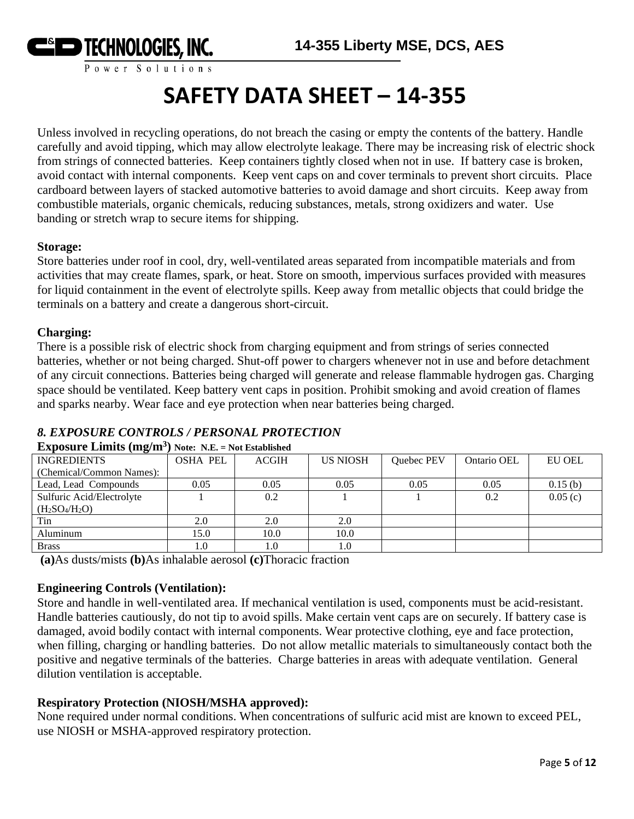

# **SAFETY DATA SHEET – 14-355**

Unless involved in recycling operations, do not breach the casing or empty the contents of the battery. Handle carefully and avoid tipping, which may allow electrolyte leakage. There may be increasing risk of electric shock from strings of connected batteries. Keep containers tightly closed when not in use. If battery case is broken, avoid contact with internal components. Keep vent caps on and cover terminals to prevent short circuits. Place cardboard between layers of stacked automotive batteries to avoid damage and short circuits. Keep away from combustible materials, organic chemicals, reducing substances, metals, strong oxidizers and water. Use banding or stretch wrap to secure items for shipping.

### **Storage:**

Store batteries under roof in cool, dry, well-ventilated areas separated from incompatible materials and from activities that may create flames, spark, or heat. Store on smooth, impervious surfaces provided with measures for liquid containment in the event of electrolyte spills. Keep away from metallic objects that could bridge the terminals on a battery and create a dangerous short-circuit.

## **Charging:**

There is a possible risk of electric shock from charging equipment and from strings of series connected batteries, whether or not being charged. Shut-off power to chargers whenever not in use and before detachment of any circuit connections. Batteries being charged will generate and release flammable hydrogen gas. Charging space should be ventilated. Keep battery vent caps in position. Prohibit smoking and avoid creation of flames and sparks nearby. Wear face and eye protection when near batteries being charged.

# *8. EXPOSURE CONTROLS / PERSONAL PROTECTION*

| $\overline{\phantom{a}}$  |                 |              |                 |            |             |         |
|---------------------------|-----------------|--------------|-----------------|------------|-------------|---------|
| <b>INGREDIENTS</b>        | <b>OSHA PEL</b> | <b>ACGIH</b> | <b>US NIOSH</b> | Quebec PEV | Ontario OEL | EU OEL  |
| (Chemical/Common Names):  |                 |              |                 |            |             |         |
| Lead, Lead Compounds      | 0.05            | 0.05         | 0.05            | 0.05       | 0.05        | 0.15(b) |
| Sulfuric Acid/Electrolyte |                 | 0.2          |                 |            | 0.2         | 0.05(c) |
| $(H_2SO_4/H_2O)$          |                 |              |                 |            |             |         |
| Tin                       | 2.0             | 2.0          | 2.0             |            |             |         |
| Aluminum                  | 15.0            | 10.0         | 10.0            |            |             |         |
| <b>Brass</b>              | 0.1             | 1.0          | 1.0             |            |             |         |

### **Exposure Limits (mg/m<sup>3</sup> ) Note: N.E. = Not Established**

**(a)**As dusts/mists **(b)**As inhalable aerosol **(c)**Thoracic fraction

## **Engineering Controls (Ventilation):**

Store and handle in well-ventilated area. If mechanical ventilation is used, components must be acid-resistant. Handle batteries cautiously, do not tip to avoid spills. Make certain vent caps are on securely. If battery case is damaged, avoid bodily contact with internal components. Wear protective clothing, eye and face protection, when filling, charging or handling batteries. Do not allow metallic materials to simultaneously contact both the positive and negative terminals of the batteries. Charge batteries in areas with adequate ventilation. General dilution ventilation is acceptable.

## **Respiratory Protection (NIOSH/MSHA approved):**

None required under normal conditions. When concentrations of sulfuric acid mist are known to exceed PEL, use NIOSH or MSHA-approved respiratory protection.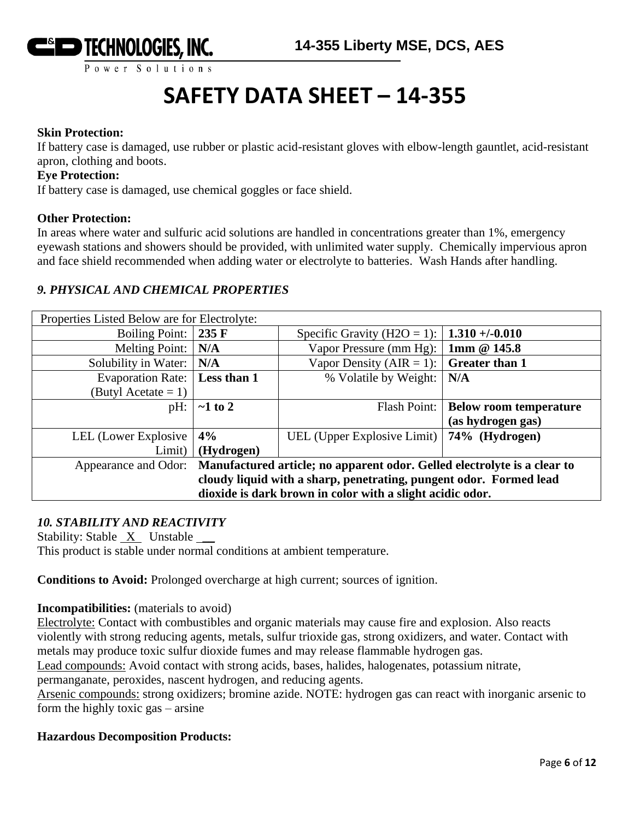

# **SAFETY DATA SHEET – 14-355**

### **Skin Protection:**

If battery case is damaged, use rubber or plastic acid-resistant gloves with elbow-length gauntlet, acid-resistant apron, clothing and boots.

#### **Eye Protection:**

If battery case is damaged, use chemical goggles or face shield.

#### **Other Protection:**

In areas where water and sulfuric acid solutions are handled in concentrations greater than 1%, emergency eyewash stations and showers should be provided, with unlimited water supply. Chemically impervious apron and face shield recommended when adding water or electrolyte to batteries. Wash Hands after handling.

## *9. PHYSICAL AND CHEMICAL PROPERTIES*

| Properties Listed Below are for Electrolyte:                                                     |               |                                     |                               |  |
|--------------------------------------------------------------------------------------------------|---------------|-------------------------------------|-------------------------------|--|
| Boiling Point: $\vert$ 235 F                                                                     |               | Specific Gravity ( $H2O = 1$ ):     | $1.310 + (-0.010$             |  |
| Melting Point:                                                                                   | N/A           | Vapor Pressure (mm Hg):             | 1mm @ 145.8                   |  |
| Solubility in Water: $\vert$ N/A                                                                 |               | Vapor Density (AIR = 1):            | <b>Greater than 1</b>         |  |
| Evaporation Rate:   Less than 1                                                                  |               | % Volatile by Weight:               | N/A                           |  |
| (Butyl Acetate $= 1$ )                                                                           |               |                                     |                               |  |
| $pH$ :                                                                                           | $\sim$ 1 to 2 | Flash Point:                        | <b>Below room temperature</b> |  |
|                                                                                                  |               |                                     | (as hydrogen gas)             |  |
| LEL (Lower Explosive                                                                             | 4%            | UEL (Upper Explosive Limit) $\vert$ | 74% (Hydrogen)                |  |
| Limit)                                                                                           | (Hydrogen)    |                                     |                               |  |
| Manufactured article; no apparent odor. Gelled electrolyte is a clear to<br>Appearance and Odor: |               |                                     |                               |  |
| cloudy liquid with a sharp, penetrating, pungent odor. Formed lead                               |               |                                     |                               |  |
| dioxide is dark brown in color with a slight acidic odor.                                        |               |                                     |                               |  |

## *10. STABILITY AND REACTIVITY*

Stability: Stable  $X$  Unstable  $\_\_\_\$ 

This product is stable under normal conditions at ambient temperature.

**Conditions to Avoid:** Prolonged overcharge at high current; sources of ignition.

**Incompatibilities:** (materials to avoid)

Electrolyte: Contact with combustibles and organic materials may cause fire and explosion. Also reacts violently with strong reducing agents, metals, sulfur trioxide gas, strong oxidizers, and water. Contact with metals may produce toxic sulfur dioxide fumes and may release flammable hydrogen gas.

Lead compounds: Avoid contact with strong acids, bases, halides, halogenates, potassium nitrate,

permanganate, peroxides, nascent hydrogen, and reducing agents.

Arsenic compounds: strong oxidizers; bromine azide. NOTE: hydrogen gas can react with inorganic arsenic to form the highly toxic gas – arsine

### **Hazardous Decomposition Products:**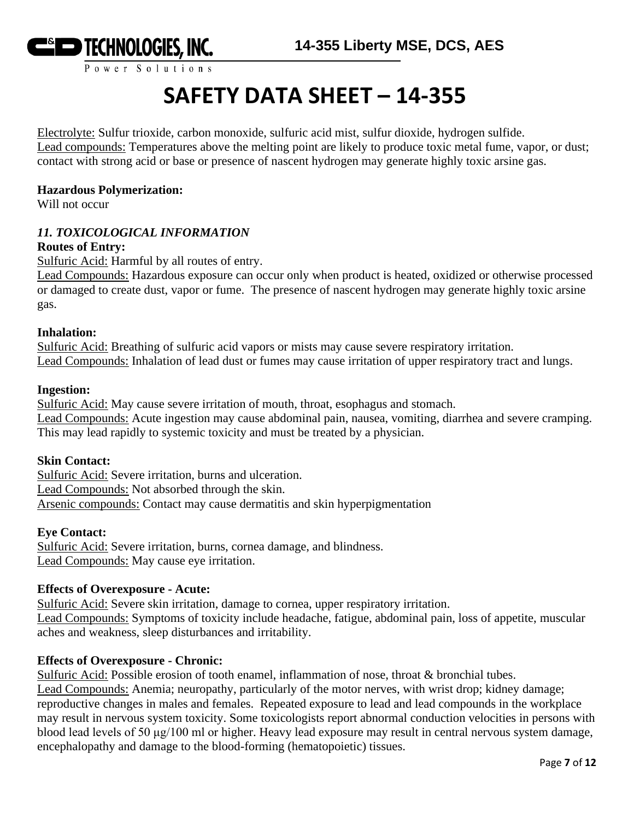

# **SAFETY DATA SHEET – 14-355**

Electrolyte: Sulfur trioxide, carbon monoxide, sulfuric acid mist, sulfur dioxide, hydrogen sulfide. Lead compounds: Temperatures above the melting point are likely to produce toxic metal fume, vapor, or dust; contact with strong acid or base or presence of nascent hydrogen may generate highly toxic arsine gas.

#### **Hazardous Polymerization:**

Will not occur

#### *11. TOXICOLOGICAL INFORMATION*

#### **Routes of Entry:**

Sulfuric Acid: Harmful by all routes of entry.

Lead Compounds: Hazardous exposure can occur only when product is heated, oxidized or otherwise processed or damaged to create dust, vapor or fume. The presence of nascent hydrogen may generate highly toxic arsine gas.

#### **Inhalation:**

Sulfuric Acid: Breathing of sulfuric acid vapors or mists may cause severe respiratory irritation. Lead Compounds: Inhalation of lead dust or fumes may cause irritation of upper respiratory tract and lungs.

#### **Ingestion:**

Sulfuric Acid: May cause severe irritation of mouth, throat, esophagus and stomach. Lead Compounds: Acute ingestion may cause abdominal pain, nausea, vomiting, diarrhea and severe cramping. This may lead rapidly to systemic toxicity and must be treated by a physician.

#### **Skin Contact:**

Sulfuric Acid: Severe irritation, burns and ulceration. Lead Compounds: Not absorbed through the skin. Arsenic compounds: Contact may cause dermatitis and skin hyperpigmentation

#### **Eye Contact:**

Sulfuric Acid: Severe irritation, burns, cornea damage, and blindness. Lead Compounds: May cause eye irritation.

#### **Effects of Overexposure - Acute:**

Sulfuric Acid: Severe skin irritation, damage to cornea, upper respiratory irritation. Lead Compounds: Symptoms of toxicity include headache, fatigue, abdominal pain, loss of appetite, muscular aches and weakness, sleep disturbances and irritability.

#### **Effects of Overexposure - Chronic:**

Sulfuric Acid: Possible erosion of tooth enamel, inflammation of nose, throat & bronchial tubes. Lead Compounds: Anemia; neuropathy, particularly of the motor nerves, with wrist drop; kidney damage; reproductive changes in males and females. Repeated exposure to lead and lead compounds in the workplace may result in nervous system toxicity. Some toxicologists report abnormal conduction velocities in persons with blood lead levels of 50 μg/100 ml or higher. Heavy lead exposure may result in central nervous system damage, encephalopathy and damage to the blood-forming (hematopoietic) tissues.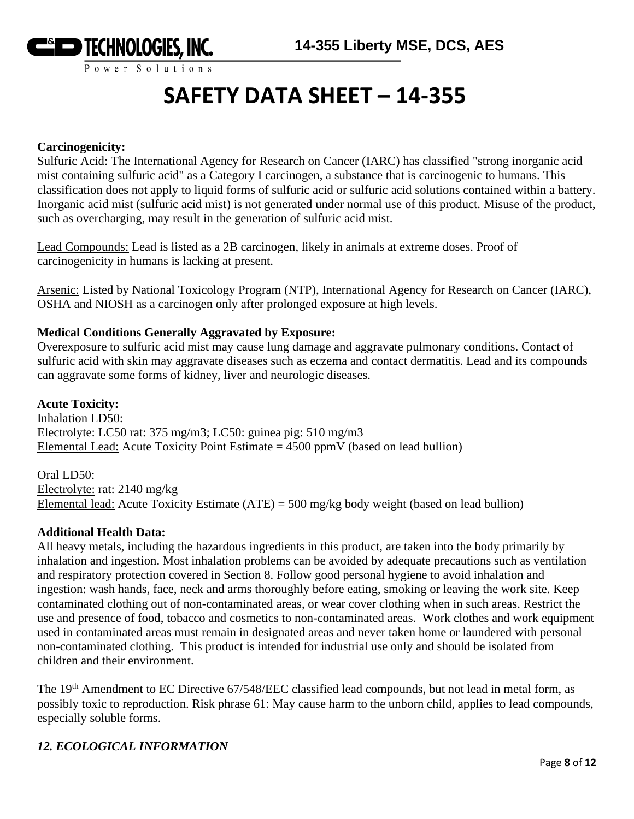

# **SAFETY DATA SHEET – 14-355**

#### **Carcinogenicity:**

Sulfuric Acid: The International Agency for Research on Cancer (IARC) has classified "strong inorganic acid mist containing sulfuric acid" as a Category I carcinogen, a substance that is carcinogenic to humans. This classification does not apply to liquid forms of sulfuric acid or sulfuric acid solutions contained within a battery. Inorganic acid mist (sulfuric acid mist) is not generated under normal use of this product. Misuse of the product, such as overcharging, may result in the generation of sulfuric acid mist.

Lead Compounds: Lead is listed as a 2B carcinogen, likely in animals at extreme doses. Proof of carcinogenicity in humans is lacking at present.

Arsenic: Listed by National Toxicology Program (NTP), International Agency for Research on Cancer (IARC), OSHA and NIOSH as a carcinogen only after prolonged exposure at high levels.

#### **Medical Conditions Generally Aggravated by Exposure:**

Overexposure to sulfuric acid mist may cause lung damage and aggravate pulmonary conditions. Contact of sulfuric acid with skin may aggravate diseases such as eczema and contact dermatitis. Lead and its compounds can aggravate some forms of kidney, liver and neurologic diseases.

#### **Acute Toxicity:**

Inhalation LD50: Electrolyte: LC50 rat: 375 mg/m3; LC50: guinea pig: 510 mg/m3 Elemental Lead: Acute Toxicity Point Estimate  $= 4500$  ppmV (based on lead bullion)

Oral LD50: Electrolyte: rat: 2140 mg/kg Elemental lead: Acute Toxicity Estimate (ATE) = 500 mg/kg body weight (based on lead bullion)

#### **Additional Health Data:**

All heavy metals, including the hazardous ingredients in this product, are taken into the body primarily by inhalation and ingestion. Most inhalation problems can be avoided by adequate precautions such as ventilation and respiratory protection covered in Section 8. Follow good personal hygiene to avoid inhalation and ingestion: wash hands, face, neck and arms thoroughly before eating, smoking or leaving the work site. Keep contaminated clothing out of non-contaminated areas, or wear cover clothing when in such areas. Restrict the use and presence of food, tobacco and cosmetics to non-contaminated areas. Work clothes and work equipment used in contaminated areas must remain in designated areas and never taken home or laundered with personal non-contaminated clothing. This product is intended for industrial use only and should be isolated from children and their environment.

The 19<sup>th</sup> Amendment to EC Directive 67/548/EEC classified lead compounds, but not lead in metal form, as possibly toxic to reproduction. Risk phrase 61: May cause harm to the unborn child, applies to lead compounds, especially soluble forms.

#### *12. ECOLOGICAL INFORMATION*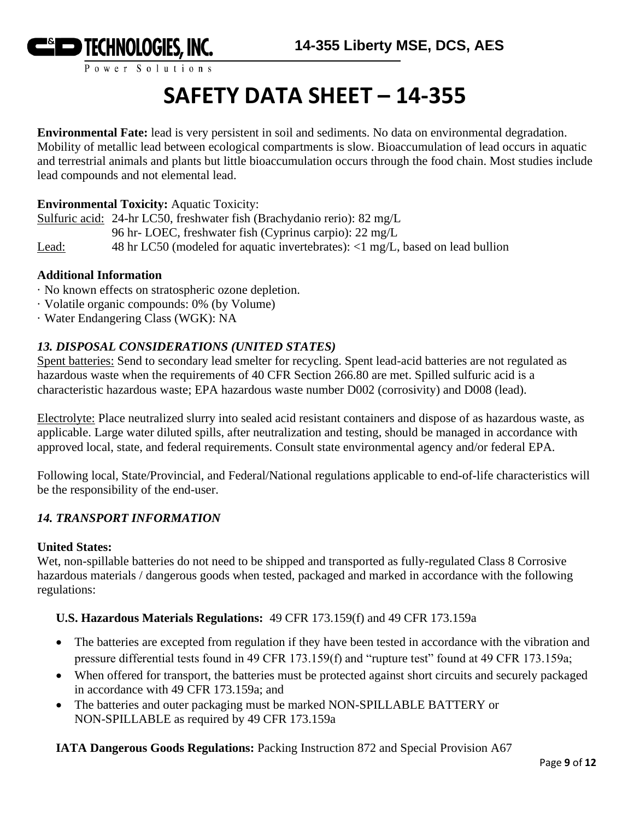

# **SAFETY DATA SHEET – 14-355**

**Environmental Fate:** lead is very persistent in soil and sediments. No data on environmental degradation. Mobility of metallic lead between ecological compartments is slow. Bioaccumulation of lead occurs in aquatic and terrestrial animals and plants but little bioaccumulation occurs through the food chain. Most studies include lead compounds and not elemental lead.

### **Environmental Toxicity:** Aquatic Toxicity:

Sulfuric acid: 24-hr LC50, freshwater fish (Brachydanio rerio): 82 mg/L 96 hr- LOEC, freshwater fish (Cyprinus carpio): 22 mg/L Lead: 48 hr LC50 (modeled for aquatic invertebrates): <1 mg/L, based on lead bullion

#### **Additional Information**

- · No known effects on stratospheric ozone depletion.
- · Volatile organic compounds: 0% (by Volume)
- · Water Endangering Class (WGK): NA

# *13. DISPOSAL CONSIDERATIONS (UNITED STATES)*

Spent batteries: Send to secondary lead smelter for recycling. Spent lead-acid batteries are not regulated as hazardous waste when the requirements of 40 CFR Section 266.80 are met. Spilled sulfuric acid is a characteristic hazardous waste; EPA hazardous waste number D002 (corrosivity) and D008 (lead).

Electrolyte: Place neutralized slurry into sealed acid resistant containers and dispose of as hazardous waste, as applicable. Large water diluted spills, after neutralization and testing, should be managed in accordance with approved local, state, and federal requirements. Consult state environmental agency and/or federal EPA.

Following local, State/Provincial, and Federal/National regulations applicable to end-of-life characteristics will be the responsibility of the end-user.

## *14. TRANSPORT INFORMATION*

#### **United States:**

Wet, non-spillable batteries do not need to be shipped and transported as fully-regulated Class 8 Corrosive hazardous materials / dangerous goods when tested, packaged and marked in accordance with the following regulations:

#### **U.S. Hazardous Materials Regulations:** 49 CFR 173.159(f) and 49 CFR 173.159a

- The batteries are excepted from regulation if they have been tested in accordance with the vibration and pressure differential tests found in 49 CFR 173.159(f) and "rupture test" found at 49 CFR 173.159a;
- When offered for transport, the batteries must be protected against short circuits and securely packaged in accordance with 49 CFR 173.159a; and
- The batteries and outer packaging must be marked NON-SPILLABLE BATTERY or NON-SPILLABLE as required by 49 CFR 173.159a

**IATA Dangerous Goods Regulations:** Packing Instruction 872 and Special Provision A67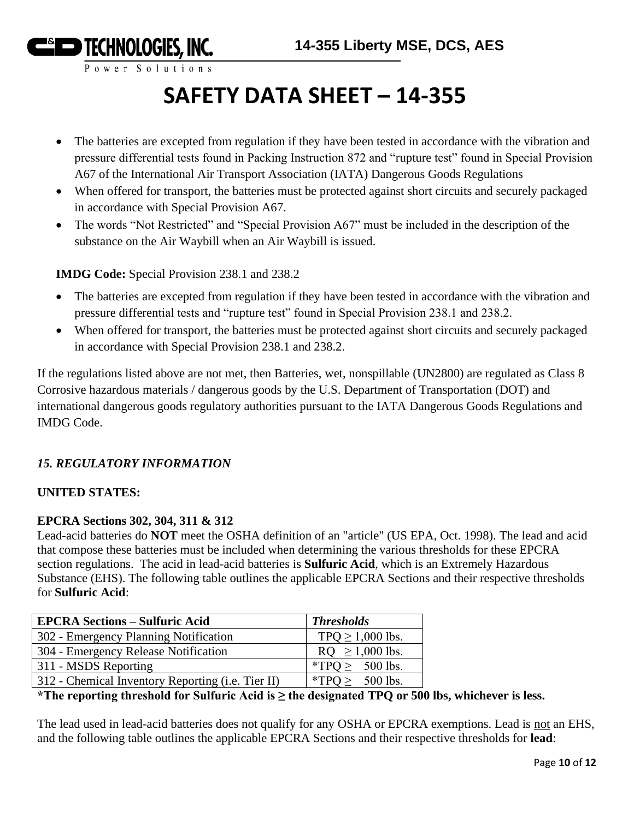

# **SAFETY DATA SHEET – 14-355**

- The batteries are excepted from regulation if they have been tested in accordance with the vibration and pressure differential tests found in Packing Instruction 872 and "rupture test" found in Special Provision A67 of the International Air Transport Association (IATA) Dangerous Goods Regulations
- When offered for transport, the batteries must be protected against short circuits and securely packaged in accordance with Special Provision A67.
- The words "Not Restricted" and "Special Provision A67" must be included in the description of the substance on the Air Waybill when an Air Waybill is issued.

**IMDG Code:** Special Provision 238.1 and 238.2

- The batteries are excepted from regulation if they have been tested in accordance with the vibration and pressure differential tests and "rupture test" found in Special Provision 238.1 and 238.2.
- When offered for transport, the batteries must be protected against short circuits and securely packaged in accordance with Special Provision 238.1 and 238.2.

If the regulations listed above are not met, then Batteries, wet, nonspillable (UN2800) are regulated as Class 8 Corrosive hazardous materials / dangerous goods by the U.S. Department of Transportation (DOT) and international dangerous goods regulatory authorities pursuant to the IATA Dangerous Goods Regulations and IMDG Code.

# *15. REGULATORY INFORMATION*

# **UNITED STATES:**

# **EPCRA Sections 302, 304, 311 & 312**

Lead-acid batteries do **NOT** meet the OSHA definition of an "article" (US EPA, Oct. 1998). The lead and acid that compose these batteries must be included when determining the various thresholds for these EPCRA section regulations. The acid in lead-acid batteries is **Sulfuric Acid**, which is an Extremely Hazardous Substance (EHS). The following table outlines the applicable EPCRA Sections and their respective thresholds for **Sulfuric Acid**:

| <b>EPCRA Sections - Sulfuric Acid</b>             | <b>Thresholds</b>     |
|---------------------------------------------------|-----------------------|
| 302 - Emergency Planning Notification             | TPQ $\geq$ 1,000 lbs. |
| 304 - Emergency Release Notification              | $RQ \ge 1,000$ lbs.   |
| 311 - MSDS Reporting                              | *TPO $\geq$ 500 lbs.  |
| 312 - Chemical Inventory Reporting (i.e. Tier II) | *TPQ $\geq$ 500 lbs.  |

# **\*The reporting threshold for Sulfuric Acid is ≥ the designated TPQ or 500 lbs, whichever is less.**

The lead used in lead-acid batteries does not qualify for any OSHA or EPCRA exemptions. Lead is not an EHS, and the following table outlines the applicable EPCRA Sections and their respective thresholds for **lead**: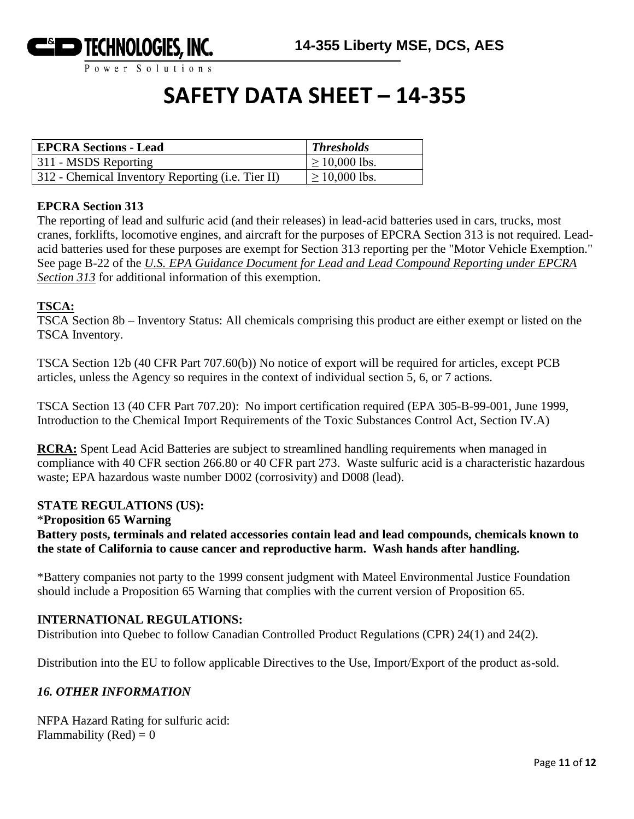

# **SAFETY DATA SHEET – 14-355**

| <b>EPCRA Sections - Lead</b>                      | <b>Thresholds</b>  |
|---------------------------------------------------|--------------------|
| 311 - MSDS Reporting                              | $\geq$ 10,000 lbs. |
| 312 - Chemical Inventory Reporting (i.e. Tier II) | $\geq 10,000$ lbs. |

#### **EPCRA Section 313**

The reporting of lead and sulfuric acid (and their releases) in lead-acid batteries used in cars, trucks, most cranes, forklifts, locomotive engines, and aircraft for the purposes of EPCRA Section 313 is not required. Leadacid batteries used for these purposes are exempt for Section 313 reporting per the "Motor Vehicle Exemption." See page B-22 of the *U.S. EPA Guidance Document for Lead and Lead Compound Reporting under EPCRA Section 313* for additional information of this exemption.

### **TSCA:**

TSCA Section 8b – Inventory Status: All chemicals comprising this product are either exempt or listed on the TSCA Inventory.

TSCA Section 12b (40 CFR Part 707.60(b)) No notice of export will be required for articles, except PCB articles, unless the Agency so requires in the context of individual section 5, 6, or 7 actions.

TSCA Section 13 (40 CFR Part 707.20): No import certification required (EPA 305-B-99-001, June 1999, Introduction to the Chemical Import Requirements of the Toxic Substances Control Act, Section IV.A)

**RCRA:** Spent Lead Acid Batteries are subject to streamlined handling requirements when managed in compliance with 40 CFR section 266.80 or 40 CFR part 273. Waste sulfuric acid is a characteristic hazardous waste; EPA hazardous waste number D002 (corrosivity) and D008 (lead).

#### **STATE REGULATIONS (US):**

#### \***Proposition 65 Warning**

**Battery posts, terminals and related accessories contain lead and lead compounds, chemicals known to the state of California to cause cancer and reproductive harm. Wash hands after handling.**

\*Battery companies not party to the 1999 consent judgment with Mateel Environmental Justice Foundation should include a Proposition 65 Warning that complies with the current version of Proposition 65.

#### **INTERNATIONAL REGULATIONS:**

Distribution into Quebec to follow Canadian Controlled Product Regulations (CPR) 24(1) and 24(2).

Distribution into the EU to follow applicable Directives to the Use, Import/Export of the product as-sold.

#### *16. OTHER INFORMATION*

NFPA Hazard Rating for sulfuric acid: Flammability (Red) =  $0$